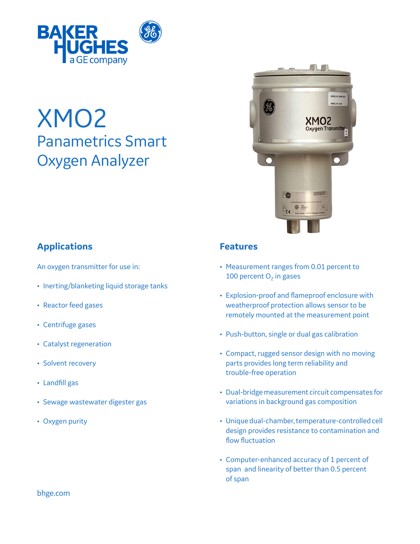

# XMO2 Panametrics Smart Oxygen Analyzer



# **Applications**

An oxygen transmitter for use in:

- Inerting/blanketing liquid storage tanks
- Reactor feed gases
- Centrifuge gases
- Catalyst regeneration
- Solvent recovery
- Landfill gas
- Sewage wastewater digester gas
- Oxygen purity

# **Features**

- Measurement ranges from 0.01 percent to 100 percent  $O<sub>2</sub>$  in gases
- Explosion-proof and flameproof enclosure with weatherproof protection allows sensor to be remotely mounted at the measurement point
- • Push-button, single or dual gas calibration
- Compact, rugged sensor design with no moving parts provides long term reliability and trouble-free operation
- Dual-bridge measurement circuit compensates for variations in background gas composition
- • Unique dual-chamber,temperature-controlled cell design provides resistance to contamination and flow fluctuation
- • Computer-enhanced accuracy of 1 percent of span and linearity of better than 0.5 percent of span

bhge.com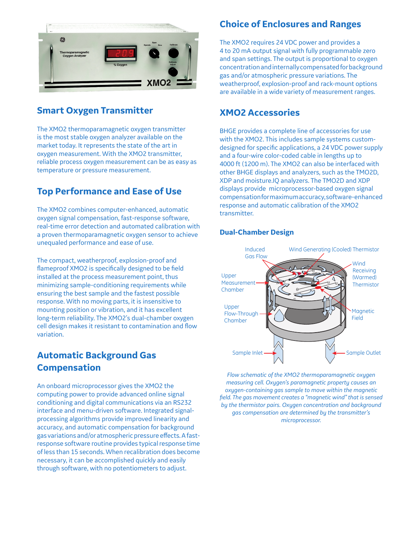

# **Smart Oxygen Transmitter**

The XMO2 thermoparamagnetic oxygen transmitter is the most stable oxygen analyzer available on the market today. It represents the state of the art in oxygen measurement. With the XMO2 transmitter, reliable process oxygen measurement can be as easy as temperature or pressure measurement.

# **Top Performance and Ease of Use**

The XMO2 combines computer-enhanced, automatic oxygen signal compensation, fast-response software, real-time error detection and automated calibration with a proven thermoparamagnetic oxygen sensor to achieve unequaled performance and ease of use.

The compact, weatherproof, explosion-proof and flameproof XMO2 is specifically designed to be field installed at the process measurement point, thus minimizing sample-conditioning requirements while ensuring the best sample and the fastest possible response. With no moving parts, it is insensitive to mounting position or vibration, and it has excellent long-term reliability. The XMO2's dual-chamber oxygen cell design makes it resistant to contamination and flow variation.

# **Automatic Background Gas Compensation**

An onboard microprocessor gives the XMO2 the computing power to provide advanced online signal conditioning and digital communications via an RS232 interface and menu-driven software. Integrated signalprocessing algorithms provide improved linearity and accuracy, and automatic compensation for background gas variations and/or atmospheric pressure effects. A fastresponse software routine provides typical response time of less than 15 seconds. When recalibration does become necessary, it can be accomplished quickly and easily through software, with no potentiometers to adjust.

## **Choice of Enclosures and Ranges**

The XMO2 requires 24 VDC power and provides a 4 to 20 mA output signal with fully programmable zero and span settings. The output is proportional to oxygen concentration and internally compensated for background gas and/or atmospheric pressure variations. The weatherproof, explosion-proof and rack-mount options are available in a wide variety of measurement ranges.

### **XMO2 Accessories**

BHGE provides a complete line of accessories for use with the XMO2. This includes sample systems customdesigned for specific applications, a 24 VDC power supply and a four-wire color-coded cable in lengths up to 4000 ft (1200 m). The XMO2 can also be interfaced with other BHGE displays and analyzers, such as the TMO2D, XDP and moisture.IQ analyzers. The TMO2D and XDP displays provide microprocessor-based oxygen signal compensationformaximumaccuracy,software-enhanced response and automatic calibration of the XMO2 transmitter.

#### **Dual-Chamber Design**



*Flow schematic of the XMO2 thermoparamagnetic oxygen measuring cell. Oxygen's paramagnetic property causes an oxygen-containing gas sample to move within the magnetic field. The gas movement creates a "magnetic wind" that is sensed by the thermistor pairs. Oxygen concentration and background gas compensation are determined by the transmitter's microprocessor.*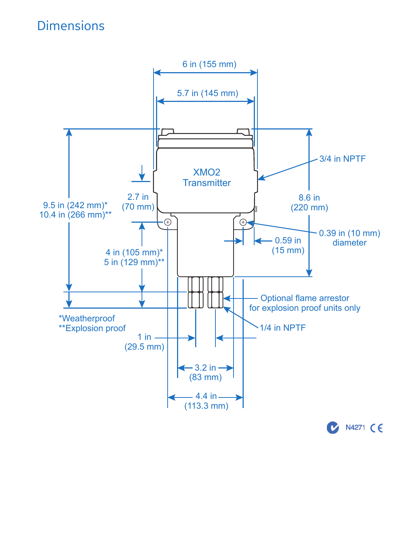# **Dimensions**

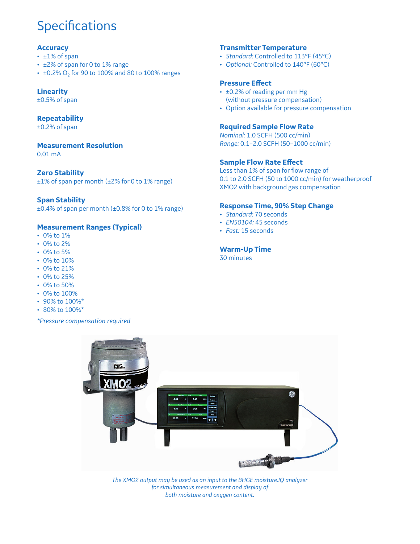# **Specifications**

#### **Accuracy**

- ±1% of span
- ±2% of span for 0 to 1% range
- $\pm 0.2\%$  O<sub>2</sub> for 90 to 100% and 80 to 100% ranges

#### **Linearity**

±0.5% of span

#### **Repeatability**

±0.2% of span

#### **Measurement Resolution**

0.01 mA

#### **Zero Stability**

±1% of span per month (±2% for 0 to 1% range)

#### **Span Stability**

±0.4% of span per month (±0.8% for 0 to 1% range)

#### **Measurement Ranges (Typical)**

- 0% to 1%
- 0% to 2%
- 0% to 5%
- 0% to 10%
- 0% to 21%
- 0% to 25%
- $\cdot$  0% to 50%
- 0% to 100%
- 90% to 100%\*
- 80% to 100%\*

*\*Pressure compensation required*

#### **Transmitter Temperature**

- *Standard:* Controlled to 113°F (45°C)
- *Optional:* Controlled to 140°F (60°C)

#### **Pressure Effect**

- ±0.2% of reading per mm Hg (without pressure compensation)
- Option available for pressure compensation

#### **Required Sample Flow Rate**

*Nominal:* 1.0 SCFH (500 cc/min) *Range:* 0.1–2.0 SCFH (50–1000 cc/min)

#### **Sample Flow Rate Effect**

Less than 1% of span for flow range of 0.1 to 2.0 SCFH (50 to 1000 cc/min) for weatherproof XMO2 with background gas compensation

#### **Response Time, 90% Step Change**

- *Standard:* 70 seconds
- *EN50104:* 45 seconds
- *Fast:* 15 seconds

#### **Warm-Up Time**

30 minutes



*The XMO2 output may be used as an input to the BHGE moisture.IQ analyzer for simultaneous measurement and display of both moisture and oxygen content.*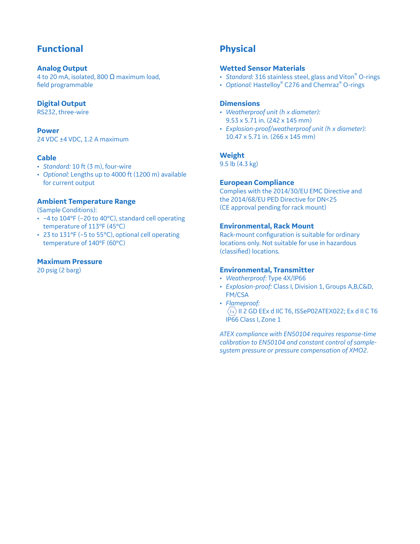# **Functional**

#### **Analog Output**

4 to 20 mA, isolated, 800  $\Omega$  maximum load, field programmable

#### **Digital Output**

RS232, three-wire

#### **Power**

24 VDC ±4 VDC, 1.2 A maximum

#### **Cable**

- *Standard:* 10 ft (3 m), four-wire
- *Optional:* Lengths up to 4000 ft (1200 m) available for current output

#### **Ambient Temperature Range**

(Sample Conditions):

- -4 to 104°F (-20 to 40°C), standard cell operating temperature of 113°F (45°C)
- 23 to 131°F (-5 to 55°C), optional cell operating temperature of 140°F (60°C)

#### **Maximum Pressure**

20 psig (2 barg)

# **Physical**

#### **Wetted Sensor Materials**

- *Standard:* 316 stainless steel, glass and Viton® O-rings
- *Optional:* Hastelloy® C276 and Chemraz® O-rings

#### **Dimensions**

- *Weatherproof unit (h x diameter):* 9.53 x 5.71 in. (242 x 145 mm)
- *Explosion-proof/weatherproof unit (h x diameter):* 10.47 x 5.71 in. (266 x 145 mm)

#### **Weight**

9.5 lb (4.3 kg)

#### **European Compliance**

Complies with the 2014/30/EU EMC Directive and the 2014/68/EU PED Directive for DN<25 (CE approval pending for rack mount)

#### **Environmental, Rack Mount**

Rack-mount configuration is suitable for ordinary locations only. Not suitable for use in hazardous (classified) locations.

#### **Environmental, Transmitter**

- *Weatherproof:* Type 4X/IP66
- *Explosion-proof:* Class I, Division 1, Groups A,B,C&D, FM/CSA
- *Flameproof:*  $\langle x \rangle$  II 2 GD EEx d IIC T6, ISSeP02ATEX022; Ex d II C T6 IP66 Class I, Zone 1

*ATEX compliance with EN50104 requires response-time calibration to EN50104 and constant control of samplesystem pressure or pressure compensation of XMO2.*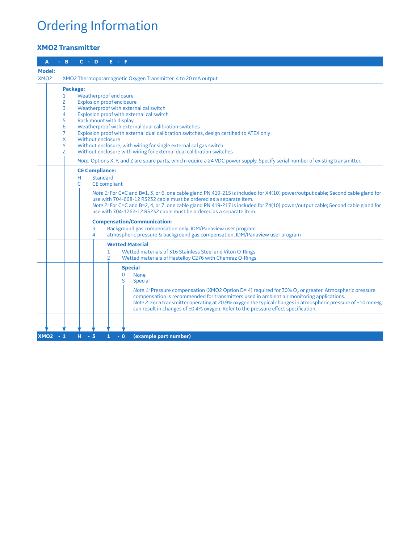# Ordering Information

### **XMO2 Transmitter**

| $C - D$<br>B<br>E F<br>Α                                                                                                                                                                                                                                                                                                                |  |  |
|-----------------------------------------------------------------------------------------------------------------------------------------------------------------------------------------------------------------------------------------------------------------------------------------------------------------------------------------|--|--|
| <b>Model:</b>                                                                                                                                                                                                                                                                                                                           |  |  |
| XMO <sub>2</sub><br>XMO2 Thermoparamagnetic Oxygen Transmitter, 4 to 20 mA output                                                                                                                                                                                                                                                       |  |  |
| Package:                                                                                                                                                                                                                                                                                                                                |  |  |
| Weatherproof enclosure<br>1                                                                                                                                                                                                                                                                                                             |  |  |
| $\overline{c}$<br><b>Explosion proof enclosure</b>                                                                                                                                                                                                                                                                                      |  |  |
| 3<br>Weatherproof with external cal switch                                                                                                                                                                                                                                                                                              |  |  |
| 4<br>Explosion proof with external cal switch                                                                                                                                                                                                                                                                                           |  |  |
| 5<br>Rack mount with display                                                                                                                                                                                                                                                                                                            |  |  |
| $6\phantom{1}6$<br>Weatherproof with external dual calibration switches<br>$\overline{7}$<br>Explosion proof with external dual calibration switches, design certified to ATEX only                                                                                                                                                     |  |  |
| X<br>Without enclosure                                                                                                                                                                                                                                                                                                                  |  |  |
| Y<br>Without enclosure, with wiring for single external cal gas switch                                                                                                                                                                                                                                                                  |  |  |
| Z<br>Without enclosure with wiring for external dual calibration switches                                                                                                                                                                                                                                                               |  |  |
| Note: Options X, Y, and Z are spare parts, which require a 24 VDC power supply. Specify serial number of existing transmitter.                                                                                                                                                                                                          |  |  |
| <b>CE Compliance:</b>                                                                                                                                                                                                                                                                                                                   |  |  |
| Standard<br>н.                                                                                                                                                                                                                                                                                                                          |  |  |
| C<br><b>CE</b> compliant                                                                                                                                                                                                                                                                                                                |  |  |
| Note 1: For C=C and B=1, 3, or 6, one cable gland PN 419-215 is included for X4(10) power/output cable; Second cable gland for<br>use with 704-668-12 RS232 cable must be ordered as a separate item.<br>Note 2: For C=C and B=2, 4, or 7, one cable gland PN 419-217 is included for Z4(10) power/output cable; Second cable gland for |  |  |
| use with 704-1262-12 RS232 cable must be ordered as a separate item.                                                                                                                                                                                                                                                                    |  |  |
| <b>Compensation/Communication:</b>                                                                                                                                                                                                                                                                                                      |  |  |
| Background gas compensation only; IDM/Panaview user program<br>3                                                                                                                                                                                                                                                                        |  |  |
| atmospheric pressure & background gas compensation; IDM/Panaview user program<br>4                                                                                                                                                                                                                                                      |  |  |
| <b>Wetted Material</b>                                                                                                                                                                                                                                                                                                                  |  |  |
| Wetted materials of 316 Stainless Steel and Viton O-Rings<br>1                                                                                                                                                                                                                                                                          |  |  |
| Wetted materials of Hastelloy C276 with Chemraz O-Rings<br>$\overline{2}$                                                                                                                                                                                                                                                               |  |  |
| <b>Special</b>                                                                                                                                                                                                                                                                                                                          |  |  |
| $\Omega$<br><b>None</b>                                                                                                                                                                                                                                                                                                                 |  |  |
| S<br><b>Special</b>                                                                                                                                                                                                                                                                                                                     |  |  |
| Note 1: Pressure compensation (XMO2 Option D= 4) required for 30% O <sub>2</sub> or greater. Atmospheric pressure                                                                                                                                                                                                                       |  |  |
| compensation is recommended for transmitters used in ambient air monitoring applications.                                                                                                                                                                                                                                               |  |  |
| Note 2: For a transmitter operating at 20.9% oxygen the typical changes in atmospheric pressure of $\pm 10$ mmHg<br>can result in changes of ±0.4% oxygen. Refer to the pressure effect specification.                                                                                                                                  |  |  |
|                                                                                                                                                                                                                                                                                                                                         |  |  |
|                                                                                                                                                                                                                                                                                                                                         |  |  |
| (example part number)<br>XMO2 - 1<br>н<br>$-3$<br>$-0$<br>$\mathbf{1}$                                                                                                                                                                                                                                                                  |  |  |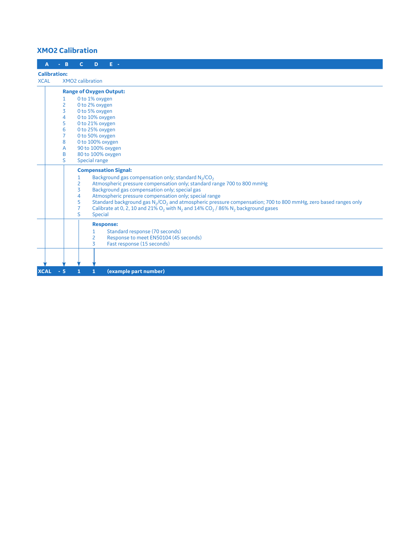#### **XMO2 Calibration**

| A                   | B              | E -<br>C.<br>D                                                                                                                                   |  |
|---------------------|----------------|--------------------------------------------------------------------------------------------------------------------------------------------------|--|
| <b>Calibration:</b> |                |                                                                                                                                                  |  |
| <b>XCAL</b>         |                | <b>XMO2</b> calibration                                                                                                                          |  |
|                     |                | <b>Range of Oxygen Output:</b>                                                                                                                   |  |
|                     | 1              | 0 to 1% oxygen                                                                                                                                   |  |
|                     | $\overline{c}$ | 0 to 2% oxygen                                                                                                                                   |  |
|                     | $\overline{3}$ | 0 to 5% oxygen                                                                                                                                   |  |
|                     | 4              | 0 to 10% oxygen                                                                                                                                  |  |
|                     | 5              | 0 to 21% oxygen                                                                                                                                  |  |
|                     | 6              | 0 to 25% oxygen                                                                                                                                  |  |
|                     | $\overline{7}$ | 0 to 50% oxygen                                                                                                                                  |  |
|                     | 8              | 0 to 100% oxygen                                                                                                                                 |  |
|                     | A              | 90 to 100% oxygen                                                                                                                                |  |
|                     | B              | 80 to 100% oxygen                                                                                                                                |  |
|                     | S.             | Special range                                                                                                                                    |  |
|                     |                | <b>Compensation Signal:</b>                                                                                                                      |  |
|                     |                | Background gas compensation only; standard N <sub>2</sub> /CO <sub>2</sub><br>1                                                                  |  |
|                     |                | Atmospheric pressure compensation only; standard range 700 to 800 mmHg<br>2                                                                      |  |
|                     |                | 3<br>Background gas compensation only; special gas                                                                                               |  |
|                     |                | Atmospheric pressure compensation only; special range<br>4                                                                                       |  |
|                     |                | Standard background gas N <sub>2</sub> /CO <sub>2</sub> and atmospheric pressure compensation; 700 to 800 mmHg, zero based ranges only<br>5      |  |
|                     |                | Calibrate at 0, 2, 10 and 21% O <sub>2</sub> with N <sub>2</sub> and 14% CO <sub>2</sub> / 86% N <sub>2</sub> background gases<br>$\overline{7}$ |  |
|                     |                | S<br><b>Special</b>                                                                                                                              |  |
|                     |                | <b>Response:</b>                                                                                                                                 |  |
|                     |                | Standard response (70 seconds)<br>$\mathbf{1}$                                                                                                   |  |
|                     |                | $\overline{2}$<br>Response to meet EN50104 (45 seconds)                                                                                          |  |
|                     |                | 3<br>Fast response (15 seconds)                                                                                                                  |  |
|                     |                |                                                                                                                                                  |  |
|                     |                |                                                                                                                                                  |  |
| <b>XCAL</b>         | $-5$           | (example part number)<br>$\mathbf{1}$<br>1                                                                                                       |  |